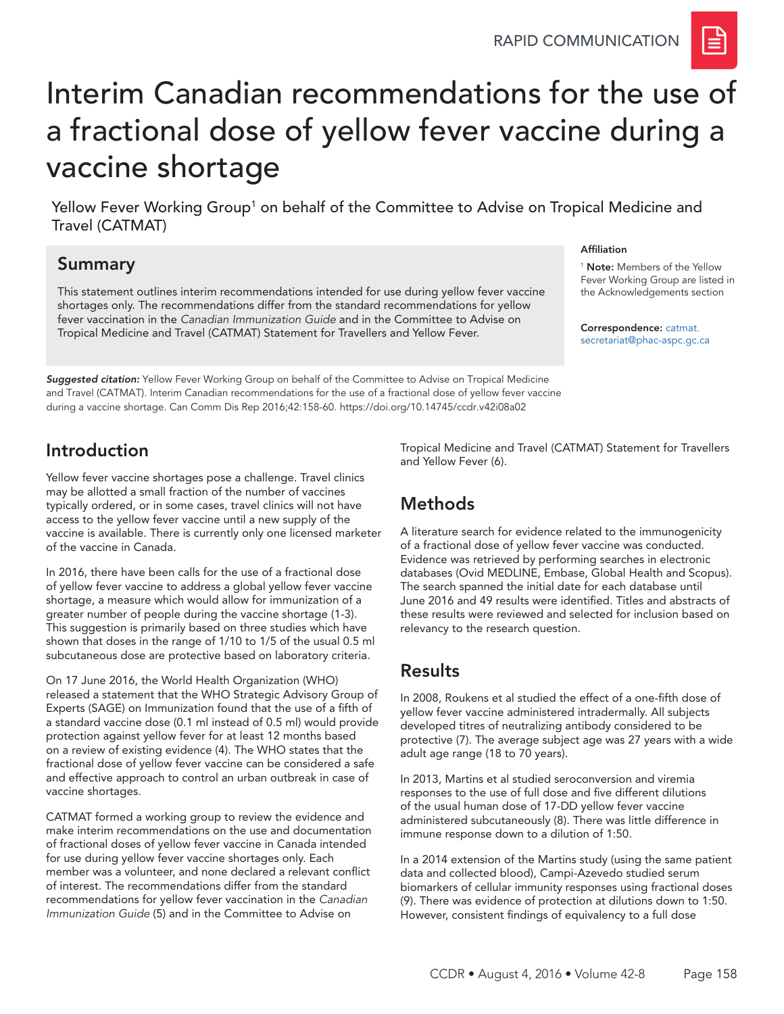

# Interim Canadian recommendations for the use of a fractional dose of yellow fever vaccine during a vaccine shortage

Yellow Fever Working Group<sup>1</sup> on behalf of the Committee to Advise on Tropical Medicine and Travel (CATMAT)

#### Summary

This statement outlines interim recommendations intended for use during yellow fever vaccine shortages only. The recommendations differ from the standard recommendations for yellow fever vaccination in the *Canadian Immunization Guide* and in the Committee to Advise on Tropical Medicine and Travel (CATMAT) Statement for Travellers and Yellow Fever.

*Suggested citation:* Yellow Fever Working Group on behalf of the Committee to Advise on Tropical Medicine and Travel (CATMAT). Interim Canadian recommendations for the use of a fractional dose of yellow fever vaccine during a vaccine shortage. Can Comm Dis Rep 2016;42:158-60.<https://doi.org/10.14745/ccdr.v42i08a02>

### Introduction

Yellow fever vaccine shortages pose a challenge. Travel clinics may be allotted a small fraction of the number of vaccines typically ordered, or in some cases, travel clinics will not have access to the yellow fever vaccine until a new supply of the vaccine is available. There is currently only one licensed marketer of the vaccine in Canada.

In 2016, there have been calls for the use of a fractional dose of yellow fever vaccine to address a global yellow fever vaccine shortage, a measure which would allow for immunization of a greater number of people during the vaccine shortage (1-3). This suggestion is primarily based on three studies which have shown that doses in the range of 1/10 to 1/5 of the usual 0.5 ml subcutaneous dose are protective based on laboratory criteria.

On 17 June 2016, the World Health Organization (WHO) released a statement that the WHO Strategic Advisory Group of Experts (SAGE) on Immunization found that the use of a fifth of a standard vaccine dose (0.1 ml instead of 0.5 ml) would provide protection against yellow fever for at least 12 months based on a review of existing evidence (4). The WHO states that the fractional dose of yellow fever vaccine can be considered a safe and effective approach to control an urban outbreak in case of vaccine shortages.

CATMAT formed a working group to review the evidence and make interim recommendations on the use and documentation of fractional doses of yellow fever vaccine in Canada intended for use during yellow fever vaccine shortages only. Each member was a volunteer, and none declared a relevant conflict of interest. The recommendations differ from the standard recommendations for yellow fever vaccination in the *Canadian Immunization Guide* (5) and in the Committee to Advise on

#### [secretariat@phac-aspc.gc.ca](mailto:catmat.secretariat%40phac-aspc.gc.ca?subject=)

Affiliation

<sup>1</sup> Note: Members of the Yellow Fever Working Group are listed in the Acknowledgements section

Correspondence: [catmat.](mailto:catmat.secretariat%40phac-aspc.gc.ca?subject=)

Tropical Medicine and Travel (CATMAT) Statement for Travellers and Yellow Fever (6).

## **Methods**

A literature search for evidence related to the immunogenicity of a fractional dose of yellow fever vaccine was conducted. Evidence was retrieved by performing searches in electronic databases (Ovid MEDLINE, Embase, Global Health and Scopus). The search spanned the initial date for each database until June 2016 and 49 results were identified. Titles and abstracts of these results were reviewed and selected for inclusion based on relevancy to the research question.

#### Results

In 2008, Roukens et al studied the effect of a one-fifth dose of yellow fever vaccine administered intradermally. All subjects developed titres of neutralizing antibody considered to be protective (7). The average subject age was 27 years with a wide adult age range (18 to 70 years).

In 2013, Martins et al studied seroconversion and viremia responses to the use of full dose and five different dilutions of the usual human dose of 17-DD yellow fever vaccine administered subcutaneously (8). There was little difference in immune response down to a dilution of 1:50.

In a 2014 extension of the Martins study (using the same patient data and collected blood), Campi-Azevedo studied serum biomarkers of cellular immunity responses using fractional doses (9). There was evidence of protection at dilutions down to 1:50. However, consistent findings of equivalency to a full dose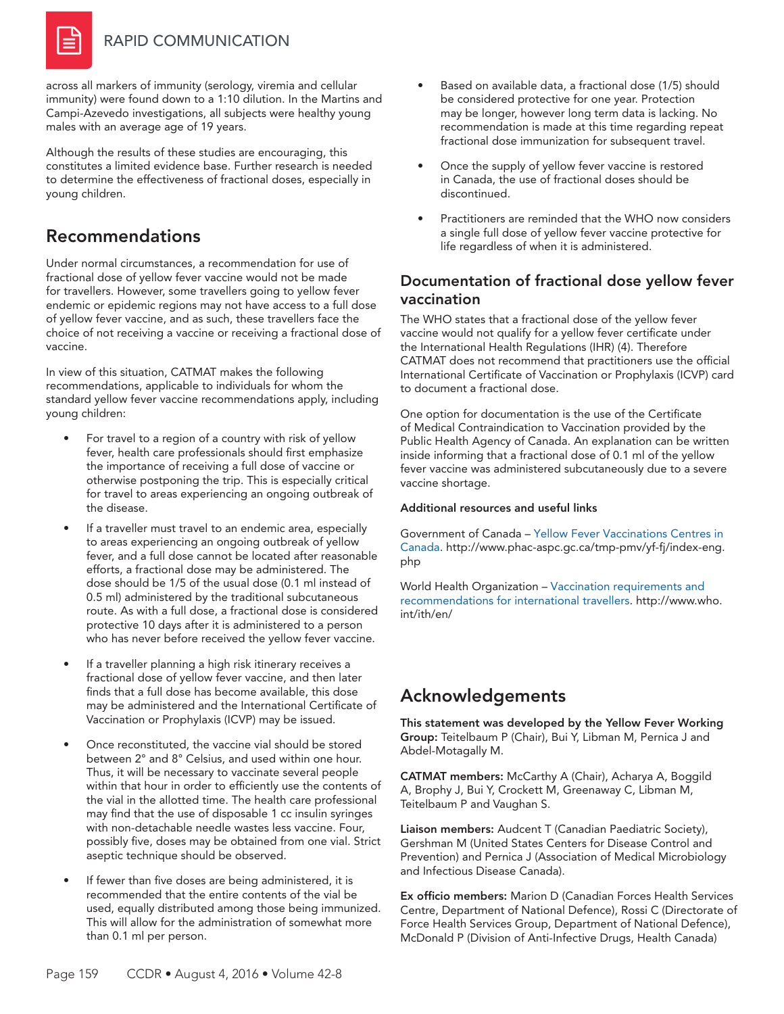

across all markers of immunity (serology, viremia and cellular immunity) were found down to a 1:10 dilution. In the Martins and Campi-Azevedo investigations, all subjects were healthy young males with an average age of 19 years.

Although the results of these studies are encouraging, this constitutes a limited evidence base. Further research is needed to determine the effectiveness of fractional doses, especially in young children.

#### Recommendations

Under normal circumstances, a recommendation for use of fractional dose of yellow fever vaccine would not be made for travellers. However, some travellers going to yellow fever endemic or epidemic regions may not have access to a full dose of yellow fever vaccine, and as such, these travellers face the choice of not receiving a vaccine or receiving a fractional dose of vaccine.

In view of this situation, CATMAT makes the following recommendations, applicable to individuals for whom the standard yellow fever vaccine recommendations apply, including young children:

- For travel to a region of a country with risk of yellow fever, health care professionals should first emphasize the importance of receiving a full dose of vaccine or otherwise postponing the trip. This is especially critical for travel to areas experiencing an ongoing outbreak of the disease.
- If a traveller must travel to an endemic area, especially to areas experiencing an ongoing outbreak of yellow fever, and a full dose cannot be located after reasonable efforts, a fractional dose may be administered. The dose should be 1/5 of the usual dose (0.1 ml instead of 0.5 ml) administered by the traditional subcutaneous route. As with a full dose, a fractional dose is considered protective 10 days after it is administered to a person who has never before received the yellow fever vaccine.
- If a traveller planning a high risk itinerary receives a fractional dose of yellow fever vaccine, and then later finds that a full dose has become available, this dose may be administered and the International Certificate of Vaccination or Prophylaxis (ICVP) may be issued.
- Once reconstituted, the vaccine vial should be stored between 2° and 8° Celsius, and used within one hour. Thus, it will be necessary to vaccinate several people within that hour in order to efficiently use the contents of the vial in the allotted time. The health care professional may find that the use of disposable 1 cc insulin syringes with non-detachable needle wastes less vaccine. Four, possibly five, doses may be obtained from one vial. Strict aseptic technique should be observed.
- If fewer than five doses are being administered, it is recommended that the entire contents of the vial be used, equally distributed among those being immunized. This will allow for the administration of somewhat more than 0.1 ml per person.
- Based on available data, a fractional dose (1/5) should be considered protective for one year. Protection may be longer, however long term data is lacking. No recommendation is made at this time regarding repeat fractional dose immunization for subsequent travel.
- Once the supply of yellow fever vaccine is restored in Canada, the use of fractional doses should be discontinued.
- Practitioners are reminded that the WHO now considers a single full dose of yellow fever vaccine protective for life regardless of when it is administered.

#### Documentation of fractional dose yellow fever vaccination

The WHO states that a fractional dose of the yellow fever vaccine would not qualify for a yellow fever certificate under the International Health Regulations (IHR) (4). Therefore CATMAT does not recommend that practitioners use the official International Certificate of Vaccination or Prophylaxis (ICVP) card to document a fractional dose.

One option for documentation is the use of the Certificate of Medical Contraindication to Vaccination provided by the Public Health Agency of Canada. An explanation can be written inside informing that a fractional dose of 0.1 ml of the yellow fever vaccine was administered subcutaneously due to a severe vaccine shortage.

#### Additional resources and useful links

Government of Canada – [Yellow Fever Vaccinations Centres in](http://www.phac-aspc.gc.ca/tmp-pmv/yf-fj/index-eng.php)  [Canada.](http://www.phac-aspc.gc.ca/tmp-pmv/yf-fj/index-eng.php) http://www.phac-aspc.gc.ca/tmp-pmv/yf-fj/index-eng. php

World Health Organization – [Vaccination requirements and](http://www.who.int/ith/en/)  [recommendations for international travellers.](http://www.who.int/ith/en/) http://www.who. int/ith/en/

# Acknowledgements

This statement was developed by the Yellow Fever Working Group: Teitelbaum P (Chair), Bui Y, Libman M, Pernica J and Abdel-Motagally M.

CATMAT members: McCarthy A (Chair), Acharya A, Boggild A, Brophy J, Bui Y, Crockett M, Greenaway C, Libman M, Teitelbaum P and Vaughan S.

Liaison members: Audcent T (Canadian Paediatric Society), Gershman M (United States Centers for Disease Control and Prevention) and Pernica J (Association of Medical Microbiology and Infectious Disease Canada).

Ex officio members: Marion D (Canadian Forces Health Services Centre, Department of National Defence), Rossi C (Directorate of Force Health Services Group, Department of National Defence), McDonald P (Division of Anti-Infective Drugs, Health Canada)